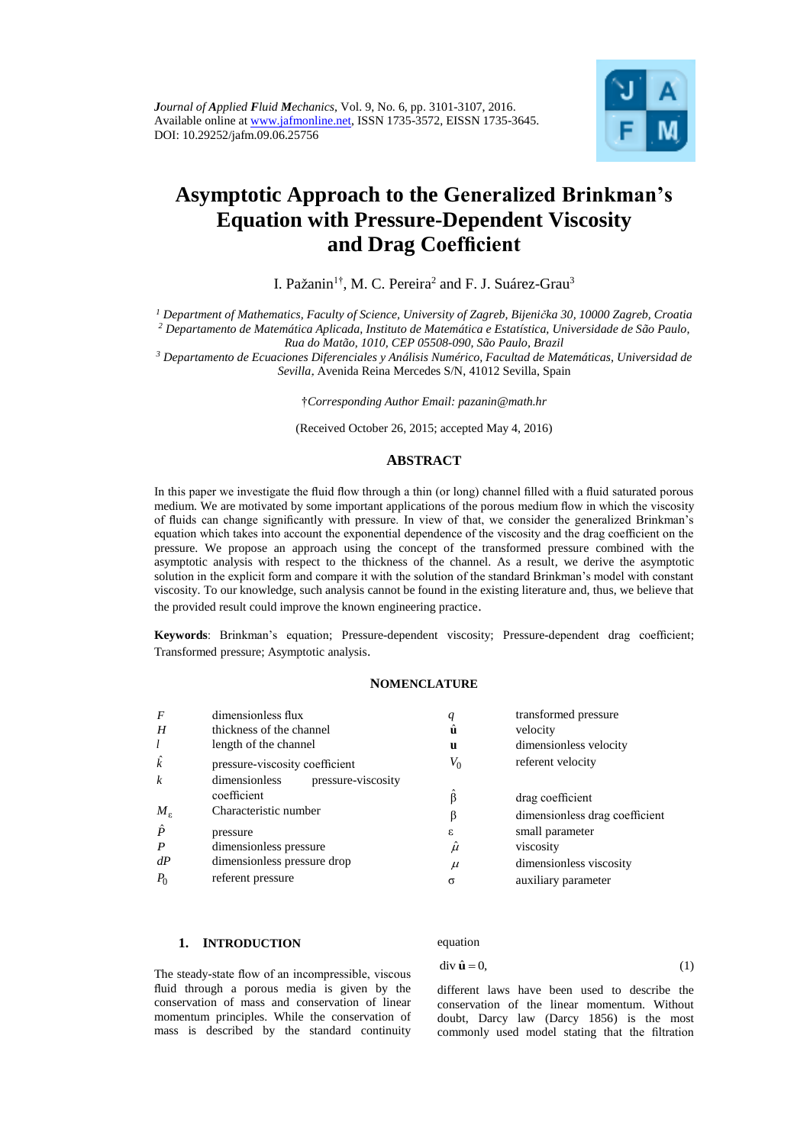

# **Asymptotic Approach to the Generalized Brinkman's Equation with Pressure-Dependent Viscosity and Drag Coefficient**

I. Pažanin<sup>1†</sup>, M. C. Pereira<sup>2</sup> and F. J. Suárez-Grau<sup>3</sup>

*<sup>1</sup> Department of Mathematics, Faculty of Science, University of Zagreb, Bijenička 30, 10000 Zagreb, Croatia*

*<sup>2</sup> Departamento de Matemática Aplicada, Instituto de Matemática e Estatística, Universidade de São Paulo,* 

*Rua do Matão, 1010, CEP 05508-090, São Paulo, Brazil*

*<sup>3</sup> Departamento de Ecuaciones Diferenciales y Análisis Numérico, Facultad de Matemáticas, Universidad de Sevilla*, Avenida Reina Mercedes S/N, 41012 Sevilla, Spain

†*Corresponding Author Email: pazanin@math.hr*

(Received October 26, 2015; accepted May 4, 2016)

## **ABSTRACT**

In this paper we investigate the fluid flow through a thin (or long) channel filled with a fluid saturated porous medium. We are motivated by some important applications of the porous medium flow in which the viscosity of fluids can change significantly with pressure. In view of that, we consider the generalized Brinkman's equation which takes into account the exponential dependence of the viscosity and the drag coefficient on the pressure. We propose an approach using the concept of the transformed pressure combined with the asymptotic analysis with respect to the thickness of the channel. As a result, we derive the asymptotic solution in the explicit form and compare it with the solution of the standard Brinkman's model with constant viscosity. To our knowledge, such analysis cannot be found in the existing literature and, thus, we believe that the provided result could improve the known engineering practice.

**Keywords**: Brinkman's equation; Pressure-dependent viscosity; Pressure-dependent drag coefficient; Transformed pressure; Asymptotic analysis.

## **NOMENCLATURE**

| $\overline{F}$    | dimensionless flux                  | q     | transformed pressure           |
|-------------------|-------------------------------------|-------|--------------------------------|
| H                 | thickness of the channel            | ū     | velocity                       |
| l                 | length of the channel               | u     | dimensionless velocity         |
| $\hat{k}$         | pressure-viscosity coefficient      | $V_0$ | referent velocity              |
| $\boldsymbol{k}$  | dimensionless<br>pressure-viscosity |       |                                |
|                   | coefficient                         | ß     | drag coefficient               |
| $M_{\varepsilon}$ | Characteristic number               | β     | dimensionless drag coefficient |
| $\hat{P}$         | pressure                            | ε     | small parameter                |
| $\boldsymbol{P}$  | dimensionless pressure              | $\mu$ | viscosity                      |
| dP                | dimensionless pressure drop         | $\mu$ | dimensionless viscosity        |
| $P_0$             | referent pressure                   | σ     | auxiliary parameter            |

## **1. INTRODUCTION**

equation

$$
\operatorname{div} \hat{\mathbf{u}} = 0,\tag{1}
$$

The steady-state flow of an incompressible, viscous fluid through a porous media is given by the conservation of mass and conservation of linear momentum principles. While the conservation of mass is described by the standard continuity

different laws have been used to describe the conservation of the linear momentum. Without doubt, Darcy law (Darcy 1856) is the most commonly used model stating that the filtration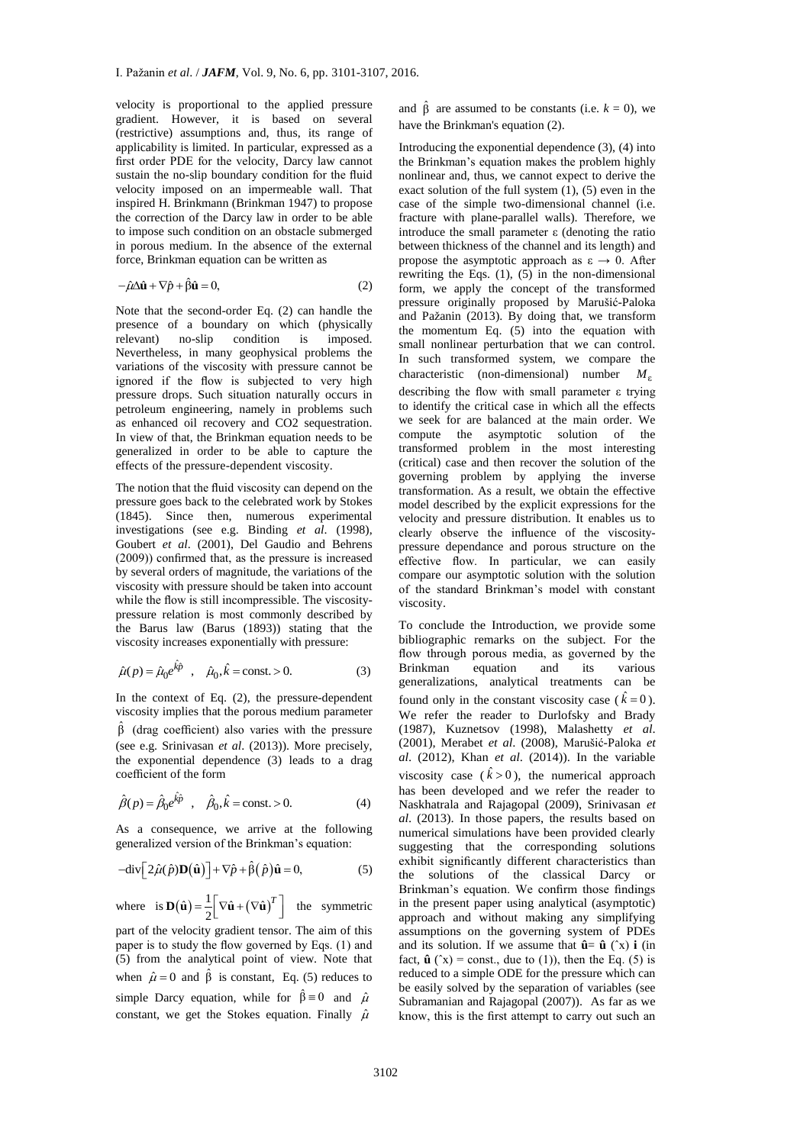velocity is proportional to the applied pressure gradient. However, it is based on several (restrictive) assumptions and, thus, its range of applicability is limited. In particular, expressed as a first order PDE for the velocity, Darcy law cannot sustain the no-slip boundary condition for the fluid velocity imposed on an impermeable wall. That inspired H. Brinkmann (Brinkman 1947) to propose the correction of the Darcy law in order to be able to impose such condition on an obstacle submerged in porous medium. In the absence of the external force, Brinkman equation can be written as

$$
-\hat{\mu}\Delta\hat{\mathbf{u}} + \nabla\hat{p} + \hat{\beta}\hat{\mathbf{u}} = 0, \tag{2}
$$

Note that the second-order Eq. (2) can handle the presence of a boundary on which (physically relevant) no-slip condition is imposed. Nevertheless, in many geophysical problems the variations of the viscosity with pressure cannot be ignored if the flow is subjected to very high pressure drops. Such situation naturally occurs in petroleum engineering, namely in problems such as enhanced oil recovery and CO2 sequestration. In view of that, the Brinkman equation needs to be generalized in order to be able to capture the effects of the pressure-dependent viscosity.

The notion that the fluid viscosity can depend on the pressure goes back to the celebrated work by Stokes (1845). Since then, numerous experimental investigations (see e.g. Binding *et al*. (1998), Goubert *et al*. (2001), Del Gaudio and Behrens (2009)) confirmed that, as the pressure is increased by several orders of magnitude, the variations of the viscosity with pressure should be taken into account while the flow is still incompressible. The viscositypressure relation is most commonly described by the Barus law (Barus (1893)) stating that the viscosity increases exponentially with pressure:

$$
\hat{\mu}(p) = \hat{\mu}_0 e^{\hat{k}\hat{p}}
$$
,  $\hat{\mu}_0, \hat{k} = \text{const.} > 0.$  (3)

In the context of Eq. (2), the pressure-dependent viscosity implies that the porous medium parameter  $\hat{\beta}$  (drag coefficient) also varies with the pressure (see e.g. Srinivasan *et al*. (2013)). More precisely, the exponential dependence (3) leads to a drag coefficient of the form

$$
\hat{\beta}(p) = \hat{\beta}_0 e^{\hat{k}\hat{p}} \quad , \quad \hat{\beta}_0, \hat{k} = \text{const.} > 0. \tag{4}
$$

As a consequence, we arrive at the following generalized version of the Brinkman's equation:

$$
-div\Big[2\hat{\mu}(\hat{p})\mathbf{D}(\hat{\mathbf{u}})\Big]+\nabla\hat{p}+\hat{\beta}(\hat{p})\hat{\mathbf{u}}=0,
$$
\n(5)

where is  $\mathbf{D}(\hat{\mathbf{u}}) = \frac{1}{2} \left[ \nabla \hat{\mathbf{u}} + (\nabla \hat{\mathbf{u}})^T \right]$  the symmetric

part of the velocity gradient tensor. The aim of this paper is to study the flow governed by Eqs. (1) and (5) from the analytical point of view. Note that when  $\hat{\mu} = 0$  and  $\hat{\beta}$  is constant, Eq. (5) reduces to simple Darcy equation, while for  $\hat{\beta} = 0$  and  $\hat{\mu}$ constant, we get the Stokes equation. Finally  $\hat{\mu}$ 

 $\hat{\beta}$  are assumed to be constants (i.e.  $k = 0$ ), we have the Brinkman's equation (2).

re and have and have the land have the land have the land have the land the mond exact case fract introver rew form press and the small charact intervals of the small charact difference the land well be exact the community Introducing the exponential dependence (3), (4) into the Brinkman's equation makes the problem highly nonlinear and, thus, we cannot expect to derive the exact solution of the full system (1), (5) even in the case of the simple two-dimensional channel (i.e. fracture with plane-parallel walls). Therefore, we introduce the small parameter ε (denoting the ratio between thickness of the channel and its length) and propose the asymptotic approach as  $\varepsilon \to 0$ . After rewriting the Eqs. (1), (5) in the non-dimensional form, we apply the concept of the transformed pressure originally proposed by Marušić-Paloka and Pažanin (2013). By doing that, we transform the momentum Eq. (5) into the equation with small nonlinear perturbation that we can control. In such transformed system, we compare the characteristic (non-dimensional) number *M*<sup>ε</sup> describing the flow with small parameter ε trying to identify the critical case in which all the effects we seek for are balanced at the main order. We compute the asymptotic solution of the transformed problem in the most interesting (critical) case and then recover the solution of the governing problem by applying the inverse transformation. As a result, we obtain the effective model described by the explicit expressions for the velocity and pressure distribution. It enables us to clearly observe the influence of the viscositypressure dependance and porous structure on the effective flow. In particular, we can easily compare our asymptotic solution with the solution of the standard Brinkman's model with constant viscosity.

To conclude the Introduction, we provide some bibliographic remarks on the subject. For the flow through porous media, as governed by the Brinkman equation and its various generalizations, analytical treatments can be found only in the constant viscosity case ( $\hat{k} = 0$ ). We refer the reader to Durlofsky and Brady (1987), Kuznetsov (1998), Malashetty *et al*. (2001), Merabet *et al*. (2008), Marušić-Paloka *et al*. (2012), Khan *et al*. (2014)). In the variable viscosity case  $(\hat{k} > 0)$ , the numerical approach has been developed and we refer the reader to Naskhatrala and Rajagopal (2009), Srinivasan *et al*. (2013). In those papers, the results based on numerical simulations have been provided clearly suggesting that the corresponding solutions exhibit significantly different characteristics than the solutions of the classical Darcy or Brinkman's equation. We confirm those findings in the present paper using analytical (asymptotic) approach and without making any simplifying assumptions on the governing system of PDEs and its solution. If we assume that  $\hat{\mathbf{u}} = \hat{\mathbf{u}}$  ( $\hat{\mathbf{x}}$ ) **i** (in fact.  $\hat{\mathbf{u}}$  ( $\hat{\mathbf{x}}$ ) = const., due to (1)), then the Eq. (5) is reduced to a simple ODE for the pressure which can be easily solved by the separation of variables (see Subramanian and Rajagopal (2007)). As far as we know, this is the first attempt to carry out such an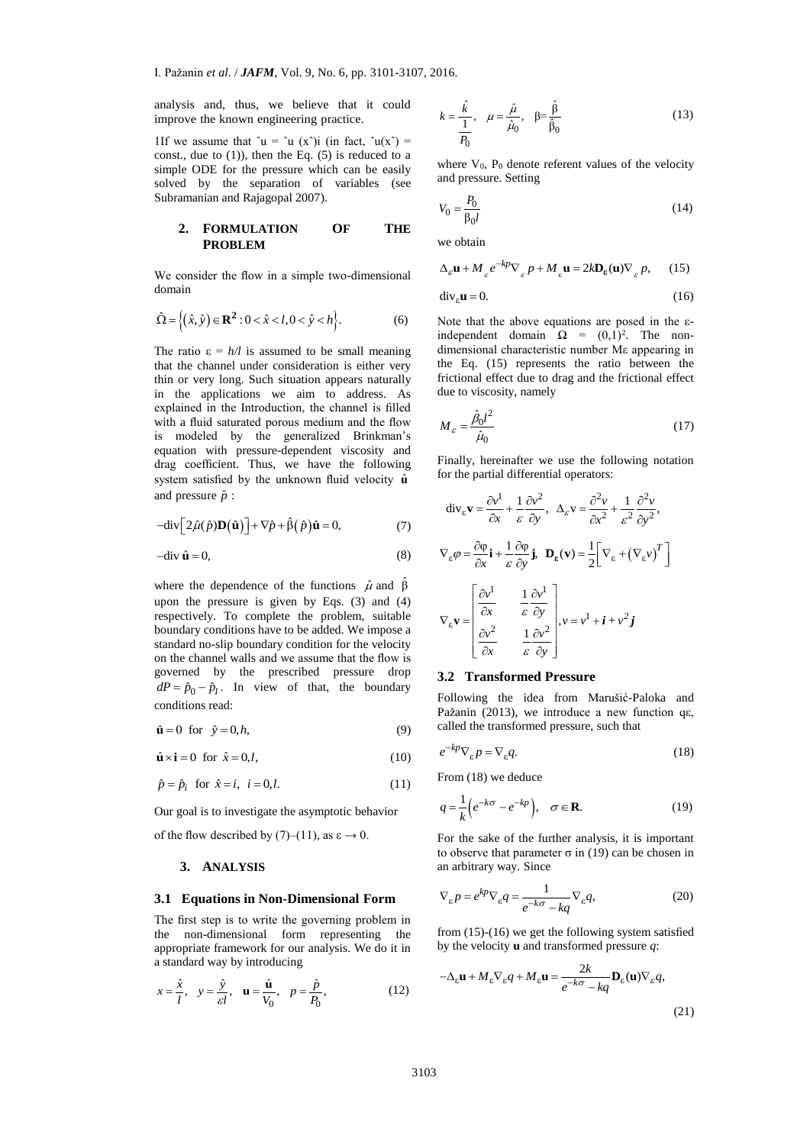analysis and, thus, we believe that it could improve the known engineering practice.

1If we assume that  $\hat{u} = \hat{u}$  (x $\hat{v}$ ) (in fact,  $\hat{u}(x^{\hat{v}}) =$ const., due to  $(1)$ ), then the Eq.  $(5)$  is reduced to a simple ODE for the pressure which can be easily solved by the separation of variables (see Subramanian and Rajagopal 2007).

## **2. FORMULATION OF THE PROBLEM**

We consider the flow in a simple two-dimensional domain

$$
\hat{\Omega} = \left\{ (\hat{x}, \hat{y}) \in \mathbf{R}^2 : 0 < \hat{x} < l, 0 < \hat{y} < h \right\}.
$$
 (6)

The ratio  $\varepsilon = h/l$  is assumed to be small meaning that the channel under consideration is either very thin or very long. Such situation appears naturally in the applications we aim to address. As explained in the Introduction, the channel is filled with a fluid saturated porous medium and the flow is modeled by the generalized Brinkman's equation with pressure-dependent viscosity and drag coefficient. Thus, we have the following system satisfied by the unknown fluid velocity  $\hat{\mathbf{u}}$ and pressure  $\hat{p}$  :

$$
-div \Big[ 2\hat{\mu}(\hat{p})\mathbf{D}(\hat{\mathbf{u}})\Big] + \nabla \hat{p} + \hat{\beta}(\hat{p})\hat{\mathbf{u}} = 0, \tag{7}
$$

$$
-div \hat{\mathbf{u}} = 0,\t\t(8)
$$

where the dependence of the functions  $\hat{\mu}$  and  $\hat{\beta}$ upon the pressure is given by Eqs. (3) and (4) respectively. To complete the problem, suitable boundary conditions have to be added. We impose a standard no-slip boundary condition for the velocity on the channel walls and we assume that the flow is governed by the prescribed pressure drop  $dP = \hat{p}_0 - \hat{p}_l$ . In view of that, the boundary conditions read:

$$
\hat{\mathbf{u}} = 0 \quad \text{for} \quad \hat{\mathbf{y}} = 0, h,\tag{9}
$$

$$
\hat{\mathbf{u}} \times \mathbf{i} = 0 \text{ for } \hat{x} = 0, l,
$$
\n(10)

$$
\hat{p} = \hat{p}_i \quad \text{for} \quad \hat{x} = i, \quad i = 0, l. \tag{11}
$$

Our goal is to investigate the asymptotic behavior

of the flow described by (7)–(11), as  $\varepsilon \to 0$ .

## **3. ANALYSIS**

#### **3.1 Equations in Non-Dimensional Form**

The first step is to write the governing problem in the non-dimensional form representing the appropriate framework for our analysis. We do it in a standard way by introducing

$$
x = \frac{\hat{x}}{l}, y = \frac{\hat{y}}{\varepsilon l}, \mathbf{u} = \frac{\hat{\mathbf{u}}}{V_0}, p = \frac{\hat{p}}{P_0},
$$
 (12)

$$
k = \frac{\hat{k}}{\frac{1}{P_0}}, \quad \mu = \frac{\hat{\mu}}{\hat{\mu}_0}, \quad \beta = \frac{\hat{\beta}}{\hat{\beta}_0}
$$
 (13)

where  $V_0$ ,  $P_0$  denote referent values of the velocity and pressure. Setting

$$
V_0 = \frac{P_0}{\beta_0 l} \tag{14}
$$

we obtain

$$
\Delta_{\varepsilon}\mathbf{u} + M_{\varepsilon} e^{-kp} \nabla_{\varepsilon} p + M_{\varepsilon} \mathbf{u} = 2k \mathbf{D}_{\varepsilon}(\mathbf{u}) \nabla_{\varepsilon} p, \qquad (15)
$$

$$
\operatorname{div}_{\varepsilon} \mathbf{u} = 0. \tag{16}
$$

Note that the above equations are posed in the εindependent domain  $\Omega = (0,1)^2$ . The nondimensional characteristic number Mε appearing in the Eq. (15) represents the ratio between the frictional effect due to drag and the frictional effect due to viscosity, namely

$$
M_{\varepsilon} = \frac{\hat{\beta}_0 l^2}{\hat{\mu}_0} \tag{17}
$$

Finally, hereinafter we use the following notation for the partial differential operators:

$$
\operatorname{div}_{\varepsilon} \mathbf{v} = \frac{\partial v^1}{\partial x} + \frac{1}{\varepsilon} \frac{\partial v^2}{\partial y}, \quad \Delta_{\varepsilon} v = \frac{\partial^2 v}{\partial x^2} + \frac{1}{\varepsilon^2} \frac{\partial^2 v}{\partial y^2},
$$
\n
$$
\nabla_{\varepsilon} \varphi = \frac{\partial \varphi}{\partial x} \mathbf{i} + \frac{1}{\varepsilon} \frac{\partial \varphi}{\partial y} \mathbf{j}, \quad \mathbf{D}_{\varepsilon} (\mathbf{v}) = \frac{1}{2} \Big[ \nabla_{\varepsilon} + (\nabla_{\varepsilon} v)^T \Big]
$$
\n
$$
\nabla_{\varepsilon} \mathbf{v} = \begin{bmatrix} \frac{\partial v^1}{\partial x} & \frac{1}{\varepsilon} \frac{\partial v^1}{\partial y} \\ \frac{\partial v^2}{\partial x} & \frac{1}{\varepsilon} \frac{\partial v^2}{\partial y} \end{bmatrix}, v = v^1 + \mathbf{i} + v^2 \mathbf{j}
$$

## **3.2 Transformed Pressure**

Following the idea from Marušić-Paloka and Pažanin (2013), we introduce a new function qε, called the transformed pressure, such that

$$
e^{-kp}\nabla_{\varepsilon}p = \nabla_{\varepsilon}q.\tag{18}
$$

From (18) we deduce

$$
q = \frac{1}{k} \left( e^{-k\sigma} - e^{-kp} \right), \quad \sigma \in \mathbf{R}.
$$
 (19)

For the sake of the further analysis, it is important to observe that parameter σ in (19) can be chosen in an arbitrary way. Since

$$
\nabla_{\varepsilon} p = e^{kp} \nabla_{\varepsilon} q = \frac{1}{e^{-k\sigma} - kq} \nabla_{\varepsilon} q,\tag{20}
$$

from (15)-(16) we get the following system satisfied by the velocity **u** and transformed pressure *q*:

$$
-\Delta_{\varepsilon}\mathbf{u} + M_{\varepsilon}\nabla_{\varepsilon}q + M_{\varepsilon}\mathbf{u} = \frac{2k}{e^{-k\sigma} - kq}\mathbf{D}_{\varepsilon}(\mathbf{u})\nabla_{\varepsilon}q,
$$
\n(21)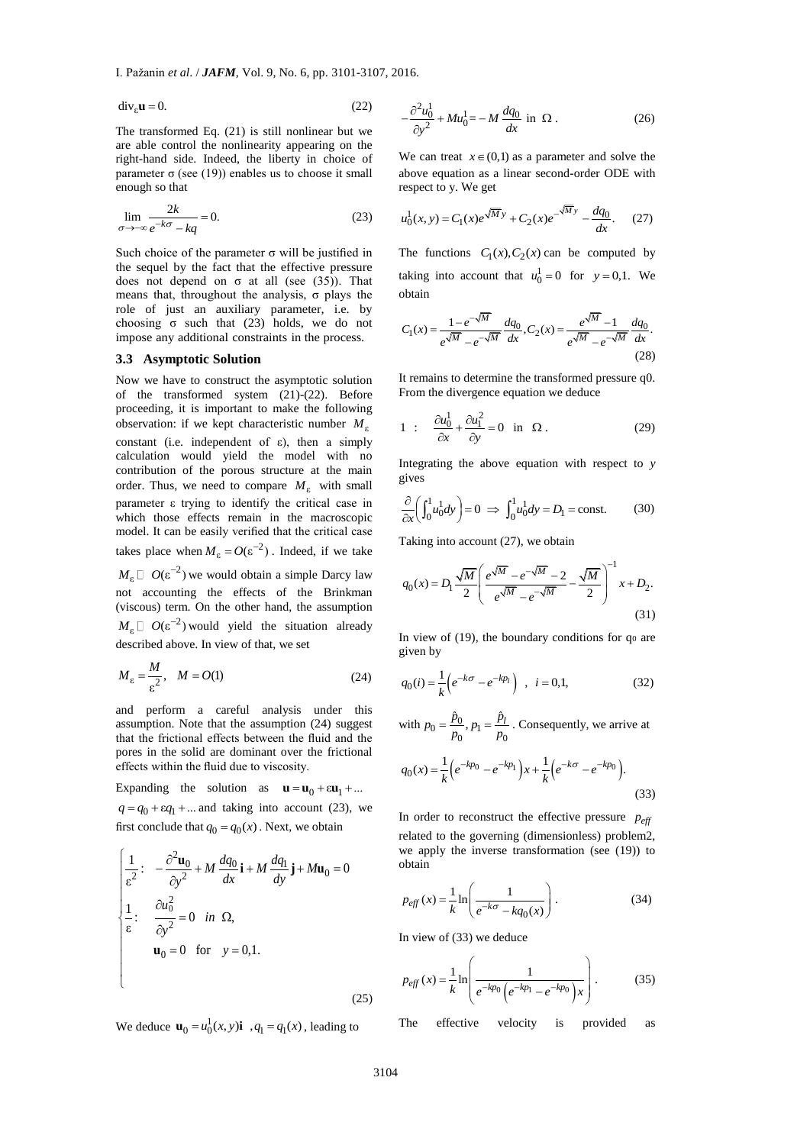$$
\operatorname{div}_{\varepsilon} \mathbf{u} = 0. \tag{22}
$$

The transformed Eq. (21) is still nonlinear but we are able control the nonlinearity appearing on the right-hand side. Indeed, the liberty in choice of parameter σ (see (19)) enables us to choose it small enough so that

$$
\lim_{\sigma \to -\infty} \frac{2k}{e^{-k\sigma} - kq} = 0.
$$
\n(23)

Such choice of the parameter  $\sigma$  will be justified in the sequel by the fact that the effective pressure does not depend on  $\sigma$  at all (see (35)). That means that, throughout the analysis,  $\sigma$  plays the role of just an auxiliary parameter, i.e. by choosing  $\sigma$  such that (23) holds, we do not impose any additional constraints in the process.

#### **3.3 Asymptotic Solution**

Now we have to construct the asymptotic solution of the transformed system  $(21)-(22)$ . Before proceeding, it is important to make the following observation: if we kept characteristic number *M*<sup>ε</sup> constant (i.e. independent of  $\varepsilon$ ), then a simply calculation would yield the model with no contribution of the porous structure at the main order. Thus, we need to compare  $M_{\varepsilon}$  with small parameter ε trying to identify the critical case in which those effects remain in the macroscopic model. It can be easily verified that the critical case takes place when  $M_{\varepsilon} = O(\varepsilon^{-2})$ . Indeed, if we take

 $M_{\varepsilon} \Box$   $O(\varepsilon^{-2})$  we would obtain a simple Darcy law not accounting the effects of the Brinkman (viscous) term. On the other hand, the assumption  $M_{\varepsilon} \Box$   $O(\varepsilon^{-2})$  would yield the situation already described above. In view of that, we set

$$
M_{\varepsilon} = \frac{M}{\varepsilon^2}, \quad M = O(1) \tag{24}
$$

and perform a careful analysis under this assumption. Note that the assumption (24) suggest that the frictional effects between the fluid and the pores in the solid are dominant over the frictional effects within the fluid due to viscosity.

Expanding the solution as  $\mathbf{u} = \mathbf{u}_0 + \varepsilon \mathbf{u}_1 + ...$  $q = q_0 + \varepsilon q_1 + \dots$  and taking into account (23), we first conclude that  $q_0 = q_0(x)$ . Next, we obtain

$$
\begin{cases}\n\frac{1}{\varepsilon^2} : -\frac{\partial^2 \mathbf{u}_0}{\partial y^2} + M \frac{dq_0}{dx} \mathbf{i} + M \frac{dq_1}{dy} \mathbf{j} + M \mathbf{u}_0 = 0 \\
\frac{1}{\varepsilon} : \frac{\partial u_0^2}{\partial y^2} = 0 \quad \text{in } \Omega, \\
\mathbf{u}_0 = 0 \quad \text{for } y = 0, 1.\n\end{cases}
$$
\n(25)

We deduce  $\mathbf{u}_0 = u_0^1(x, y)$ **i**  $q_1 = q_1(x)$ , leading to

$$
-\frac{\partial^2 u_0^1}{\partial y^2} + M u_0^1 = -M \frac{dq_0}{dx} \text{ in } \Omega. \tag{26}
$$

We can treat  $x \in (0,1)$  as a parameter and solve the above equation as a linear second-order ODE with respect to y. We get

$$
u_0^1(x, y) = C_1(x)e^{\sqrt{M}y} + C_2(x)e^{-\sqrt{M}y} - \frac{dq_0}{dx}.
$$
 (27)

The functions  $C_1(x)$ ,  $C_2(x)$  can be computed by taking into account that  $u_0^1 = 0$  for  $y = 0,1$ . We obtain

$$
C_1(x) = \frac{1 - e^{-\sqrt{M}}}{e^{\sqrt{M}} - e^{-\sqrt{M}}} \frac{dq_0}{dx}, C_2(x) = \frac{e^{\sqrt{M}} - 1}{e^{\sqrt{M}} - e^{-\sqrt{M}}} \frac{dq_0}{dx}.
$$
\n(28)

It remains to determine the transformed pressure q0. From the divergence equation we deduce

1 : 
$$
\frac{\partial u_0^1}{\partial x} + \frac{\partial u_1^2}{\partial y} = 0 \text{ in } \Omega.
$$
 (29)

Integrating the above equation with respect to *y* gives

$$
\frac{\partial}{\partial x} \left( \int_0^1 u_0^1 dy \right) = 0 \implies \int_0^1 u_0^1 dy = D_1 = \text{const.}
$$
 (30)

Taking into account (27), we obtain

$$
q_0(x) = D_1 \frac{\sqrt{M}}{2} \left( \frac{e^{\sqrt{M}} - e^{-\sqrt{M}} - 2}{e^{\sqrt{M}} - e^{-\sqrt{M}}} - \frac{\sqrt{M}}{2} \right)^{-1} x + D_2.
$$
\n(31)

In view of  $(19)$ , the boundary conditions for  $q_0$  are given by

$$
q_0(i) = \frac{1}{k} \left( e^{-k\sigma} - e^{-kp_i} \right) , \quad i = 0, 1,
$$
 (32)

with  $p_0 = \frac{p_0}{p_0}, p_1 = \frac{p_l}{p_0}$  $p_0 = \frac{\hat{p}_0}{p_0}, p_1 = \frac{\hat{p}_l}{p_0}$ . Consequently, we arrive at

$$
q_0(x) = \frac{1}{k} \left( e^{-kp_0} - e^{-kp_1} \right) x + \frac{1}{k} \left( e^{-k\sigma} - e^{-kp_0} \right).
$$
\n(33)

In order to reconstruct the effective pressure  $p_{\text{eff}}$ related to the governing (dimensionless) problem2, we apply the inverse transformation (see (19)) to obtain

$$
p_{\text{eff}}(x) = \frac{1}{k} \ln \left( \frac{1}{e^{-k\sigma} - kq_0(x)} \right). \tag{34}
$$

In view of (33) we deduce

$$
p_{\text{eff}}(x) = \frac{1}{k} \ln \left( \frac{1}{e^{-kp_0} \left( e^{-kp_1} - e^{-kp_0} \right) x} \right). \tag{35}
$$

The effective velocity is provided as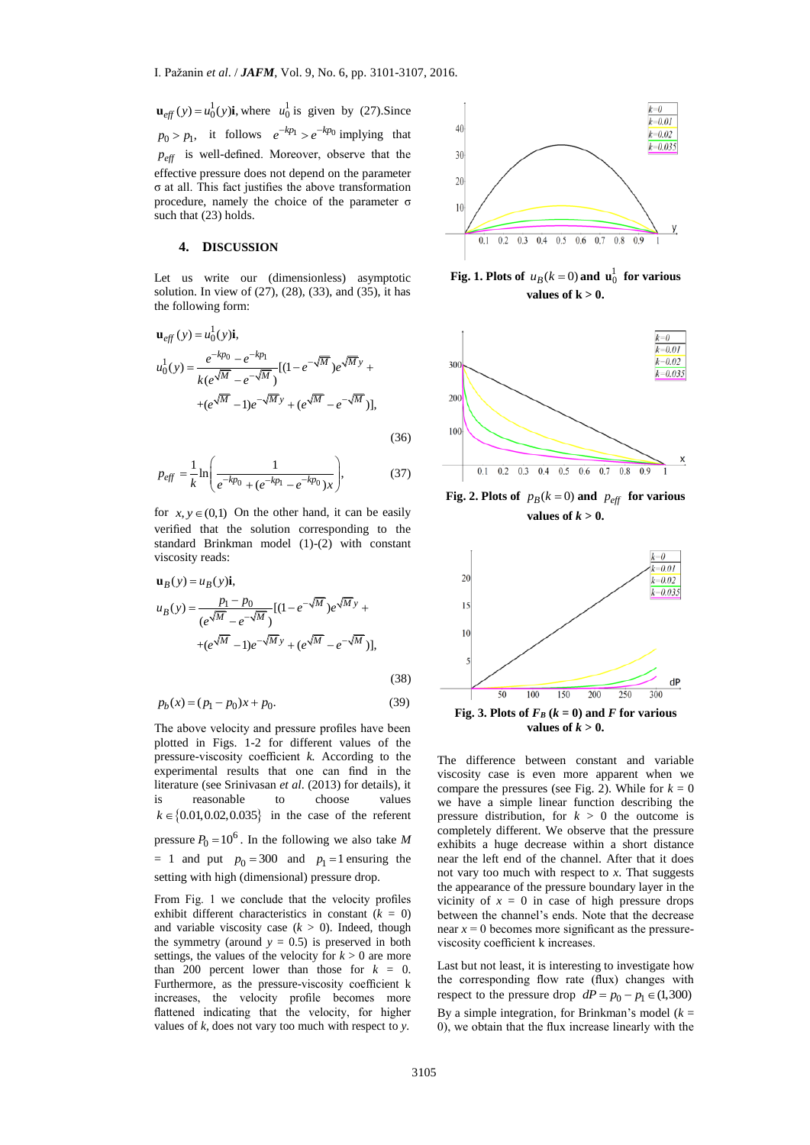$\mathbf{u}_{\text{eff}}(y) = u_0^1(y)\mathbf{i}$ , where  $u_0^1$  is given by (27). Since  $p_0 > p_1$ , it follows  $e^{-kp_1} > e^{-kp_0}$  implying that *eff p* is well-defined. Moreover, observe that the effective pressure does not depend on the parameter σ at all. This fact justifies the above transformation procedure, namely the choice of the parameter σ such that (23) holds.

#### **4. DISCUSSION**

Let us write our (dimensionless) asymptotic solution. In view of  $(27)$ ,  $(28)$ ,  $(33)$ , and  $(35)$ , it has the following form:

$$
\mathbf{u}_{eff}(y) = u_0^1(y)\mathbf{i},
$$
  
\n
$$
u_0^1(y) = \frac{e^{-kp_0} - e^{-kp_1}}{k(e^{\sqrt{M}} - e^{-\sqrt{M}})}[(1 - e^{-\sqrt{M}})e^{\sqrt{M}y} +
$$
  
\n
$$
+ (e^{\sqrt{M}} - 1)e^{-\sqrt{M}y} + (e^{\sqrt{M}} - e^{-\sqrt{M}})],
$$

(36)

$$
p_{\text{eff}} = \frac{1}{k} \ln \left( \frac{1}{e^{-kp_0} + (e^{-kp_1} - e^{-kp_0})x} \right),\tag{37}
$$

for  $x, y \in (0,1)$  On the other hand, it can be easily verified that the solution corresponding to the standard Brinkman model (1)-(2) with constant viscosity reads:

$$
\mathbf{u}_B(y) = u_B(y)\mathbf{i},
$$
  
\n
$$
u_B(y) = \frac{p_1 - p_0}{(e^{\sqrt{M}} - e^{-\sqrt{M}})}[(1 - e^{-\sqrt{M}})e^{\sqrt{M}y} +
$$
  
\n
$$
+ (e^{\sqrt{M}} - 1)e^{-\sqrt{M}y} + (e^{\sqrt{M}} - e^{-\sqrt{M}})],
$$

$$
(38)
$$

$$
p_b(x) = (p_1 - p_0)x + p_0.
$$
 (39)

 $\frac{1}{6}$ (y)i, where  $u_0^1$  is given by (27). Since<br>
it follows  $e^{-k\rho_1} \ge e^{-k\rho_1}$  implying that<br>  $\frac{1}{6}$  the diffined. Moreover, observe that the<br>
Electrical converts observe that the<br>
essure does not depend on the The above velocity and pressure profiles have been plotted in Figs. 1-2 for different values of the pressure-viscosity coefficient *k.* According to the experimental results that one can find in the literature (see Srinivasan *et al*. (2013) for details), it is reasonable to choose values  $k \in \{0.01, 0.02, 0.035\}$  in the case of the referent pressure  $P_0 = 10^6$ . In the following we also take *M*  $= 1$  and put  $p_0 = 300$  and  $p_1 = 1$  ensuring the setting with high (dimensional) pressure drop.

From Fig. 1 we conclude that the velocity profiles exhibit different characteristics in constant  $(k = 0)$ and variable viscosity case  $(k > 0)$ . Indeed, though the symmetry (around  $y = 0.5$ ) is preserved in both settings, the values of the velocity for  $k > 0$  are more than 200 percent lower than those for  $k = 0$ . Furthermore, as the pressure-viscosity coefficient k increases, the velocity profile becomes more flattened indicating that the velocity, for higher values of *k,* does not vary too much with respect to *y*.



**Fig. 1. Plots of**  $u_B(k=0)$  and  $\mathbf{u}_0^1$  for various values of  $k > 0$ .



**Fig. 2. Plots of**  $p_B(k=0)$  and  $p_{\text{eff}}$  for various **values of**  $k > 0$ **.** 



The difference between constant and variable viscosity case is even more apparent when we compare the pressures (see Fig. 2). While for  $k = 0$ we have a simple linear function describing the pressure distribution, for  $k > 0$  the outcome is completely different. We observe that the pressure exhibits a huge decrease within a short distance near the left end of the channel. After that it does not vary too much with respect to *x*. That suggests the appearance of the pressure boundary layer in the vicinity of  $x = 0$  in case of high pressure drops between the channel's ends. Note that the decrease near  $x = 0$  becomes more significant as the pressureviscosity coefficient k increases.

Last but not least, it is interesting to investigate how the corresponding flow rate (flux) changes with respect to the pressure drop  $dP = p_0 - p_1 \in (1,300)$ By a simple integration, for Brinkman's model  $(k =$ 0), we obtain that the flux increase linearly with the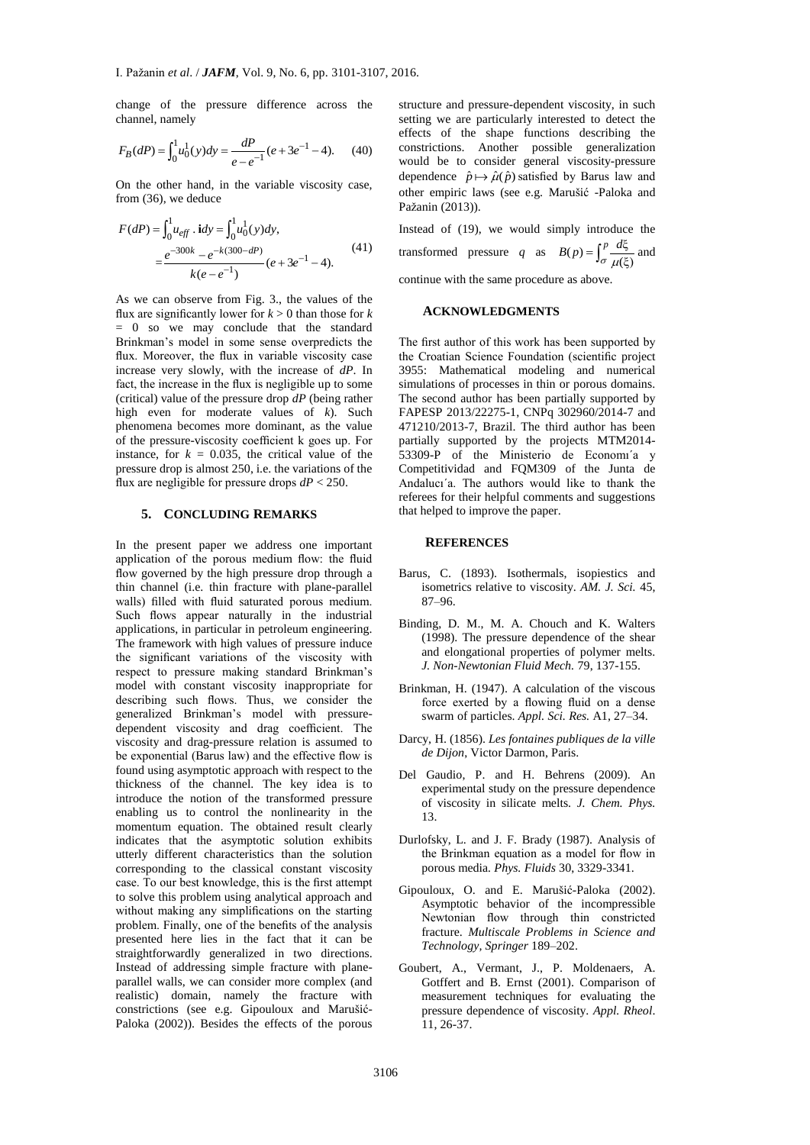change of the pressure difference across the channel, namely

$$
F_B(dP) = \int_0^1 u_0^1(y) dy = \frac{dP}{e - e^{-1}} (e + 3e^{-1} - 4).
$$
 (40)

On the other hand, in the variable viscosity case, from (36), we deduce

$$
F(dP) = \int_0^1 u_{eff} \cdot idy = \int_0^1 u_0^1(y) dy,
$$
  
= 
$$
\frac{e^{-300k} - e^{-k(300-dP)}}{k(e-e^{-1})} (e+3e^{-1}-4).
$$
 (41)

As we can observe from Fig. 3., the values of the flux are significantly lower for  $k > 0$  than those for  $k$ = 0 so we may conclude that the standard Brinkman's model in some sense overpredicts the flux. Moreover, the flux in variable viscosity case increase very slowly, with the increase of *dP*. In fact, the increase in the flux is negligible up to some (critical) value of the pressure drop *dP* (being rather high even for moderate values of *k*). Such phenomena becomes more dominant, as the value of the pressure-viscosity coefficient k goes up. For instance, for  $k = 0.035$ , the critical value of the pressure drop is almost 250, i.e. the variations of the flux are negligible for pressure drops  $dP < 250$ .

#### **5. CONCLUDING REMARKS**

In the present paper we address one important application of the porous medium flow: the fluid flow governed by the high pressure drop through a thin channel (i.e. thin fracture with plane-parallel walls) filled with fluid saturated porous medium. Such flows appear naturally in the industrial applications, in particular in petroleum engineering. The framework with high values of pressure induce the significant variations of the viscosity with respect to pressure making standard Brinkman's model with constant viscosity inappropriate for describing such flows. Thus, we consider the generalized Brinkman's model with pressuredependent viscosity and drag coefficient. The viscosity and drag-pressure relation is assumed to be exponential (Barus law) and the effective flow is found using asymptotic approach with respect to the thickness of the channel. The key idea is to introduce the notion of the transformed pressure enabling us to control the nonlinearity in the momentum equation. The obtained result clearly indicates that the asymptotic solution exhibits utterly different characteristics than the solution corresponding to the classical constant viscosity case. To our best knowledge, this is the first attempt to solve this problem using analytical approach and without making any simplifications on the starting problem. Finally, one of the benefits of the analysis presented here lies in the fact that it can be straightforwardly generalized in two directions. Instead of addressing simple fracture with planeparallel walls, we can consider more complex (and realistic) domain, namely the fracture with constrictions (see e.g. Gipouloux and Marušić-Paloka (2002)). Besides the effects of the porous

structure and pressure-dependent viscosity, in such setting we are particularly interested to detect the effects of the shape functions describing the constrictions. Another possible generalization would be to consider general viscosity-pressure dependence  $\hat{p} \mapsto \hat{\mu}(\hat{p})$  satisfied by Barus law and other empiric laws (see e.g. Marušić -Paloka and Pažanin (2013)).

Instead of (19), we would simply introduce the transformed pressure *q* as  $B(p) = \int_{\sigma}^{p} \frac{d\xi}{\mu(\xi)}$  $B(p) = \int_{\sigma}^{p} \frac{d\xi}{\mu(\xi)}$  and

continue with the same procedure as above.

#### **ACKNOWLEDGMENTS**

The first author of this work has been supported by the Croatian Science Foundation (scientific project 3955: Mathematical modeling and numerical simulations of processes in thin or porous domains. The second author has been partially supported by FAPESP 2013/22275-1, CNPq 302960/2014-7 and 471210/2013-7, Brazil. The third author has been partially supported by the projects MTM2014- 53309-P of the Ministerio de Economı´a y Competitividad and FQM309 of the Junta de Andalucı´a. The authors would like to thank the referees for their helpful comments and suggestions that helped to improve the paper.

## **REFERENCES**

- Barus, C. (1893). Isothermals, isopiestics and isometrics relative to viscosity. *AM. J. Sci.* 45, 87–96.
- Binding, D. M., M. A. Chouch and K. Walters (1998). The pressure dependence of the shear and elongational properties of polymer melts. *J. Non-Newtonian Fluid Mech.* 79, 137-155.
- Brinkman, H. (1947). A calculation of the viscous force exerted by a flowing fluid on a dense swarm of particles. *Appl. Sci. Res.* A1, 27–34.
- Darcy, H. (1856). *Les fontaines publiques de la ville de Dijon*, Victor Darmon, Paris.
- Del Gaudio, P. and H. Behrens (2009). An experimental study on the pressure dependence of viscosity in silicate melts. *J. Chem. Phys.* 13.
- Durlofsky, L. and J. F. Brady (1987). Analysis of the Brinkman equation as a model for flow in porous media*. Phys. Fluids* 30, 3329-3341.
- Gipouloux, O. and E. Marušić-Paloka (2002). Asymptotic behavior of the incompressible Newtonian flow through thin constricted fracture. *Multiscale Problems in Science and Technology, Springer* 189–202.
- Goubert, A., Vermant, J., P. Moldenaers, A. Gotffert and B. Ernst (2001). Comparison of measurement techniques for evaluating the pressure dependence of viscosity. *Appl. Rheol*. 11, 26-37.